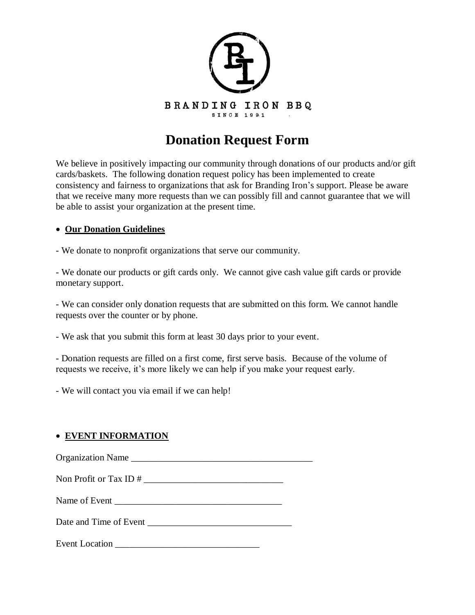

## **Donation Request Form**

We believe in positively impacting our community through donations of our products and/or gift cards/baskets. The following donation request policy has been implemented to create consistency and fairness to organizations that ask for Branding Iron's support. Please be aware that we receive many more requests than we can possibly fill and cannot guarantee that we will be able to assist your organization at the present time.

## **Our Donation Guidelines**

- We donate to nonprofit organizations that serve our community.

- We donate our products or gift cards only. We cannot give cash value gift cards or provide monetary support.

- We can consider only donation requests that are submitted on this form. We cannot handle requests over the counter or by phone.

- We ask that you submit this form at least 30 days prior to your event.

- Donation requests are filled on a first come, first serve basis. Because of the volume of requests we receive, it's more likely we can help if you make your request early.

- We will contact you via email if we can help!

## **EVENT INFORMATION**

Organization Name Non Profit or Tax ID  $#$ 

Name of Event \_\_\_\_\_\_\_\_\_\_\_\_\_\_\_\_\_\_\_\_\_\_\_\_\_\_\_\_\_\_\_\_\_\_\_\_

Date and Time of Event \_\_\_\_\_\_\_\_\_\_\_\_\_\_\_\_\_\_\_\_\_\_\_\_\_\_\_\_\_\_\_

Event Location **Exercise Event**